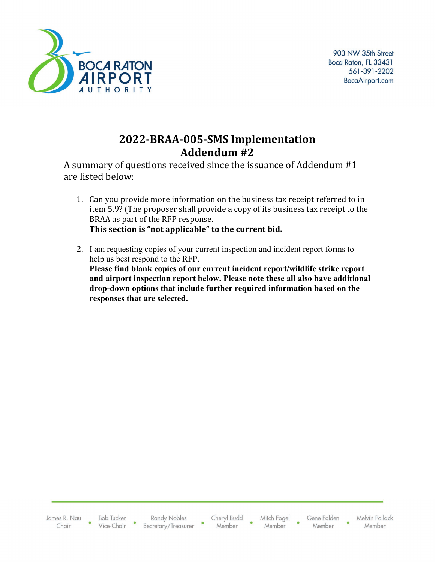

### **2022-BRAA-005-SMS Implementation Addendum #2**

A summary of questions received since the issuance of Addendum #1 are listed below:

- 1. Can you provide more information on the business tax receipt referred to in item 5.9? (The proposer shall provide a copy of its business tax receipt to the BRAA as part of the RFP response. **This section is "not applicable" to the current bid.**
- 2. I am requesting copies of your current inspection and incident report forms to help us best respond to the RFP. **Please find blank copies of our current incident report/wildlife strike report and airport inspection report below. Please note these all also have additional drop-down options that include further required information based on the responses that are selected.**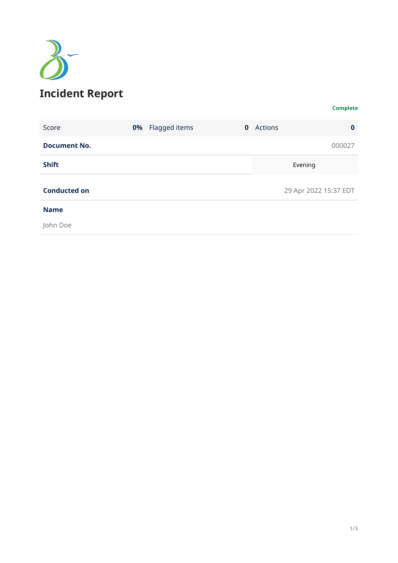

#### **Complete**

| Score               | <b>0%</b> Flagged items | $\mathbf{0}$ | <b>Actions</b> | $\bf{0}$              |
|---------------------|-------------------------|--------------|----------------|-----------------------|
| <b>Document No.</b> |                         |              |                | 000027                |
| <b>Shift</b>        |                         |              |                | Evening               |
| <b>Conducted on</b> |                         |              |                | 29 Apr 2022 15:37 EDT |
| <b>Name</b>         |                         |              |                |                       |
| John Doe            |                         |              |                |                       |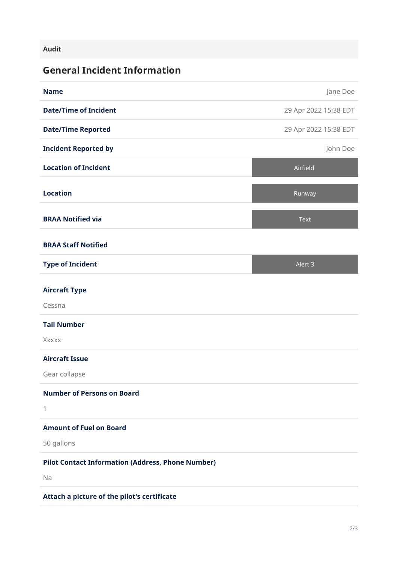#### **Audit**

### **General Incident Information**

| <b>Name</b>                                              | Jane Doe              |
|----------------------------------------------------------|-----------------------|
| <b>Date/Time of Incident</b>                             | 29 Apr 2022 15:38 EDT |
| <b>Date/Time Reported</b>                                | 29 Apr 2022 15:38 EDT |
| <b>Incident Reported by</b>                              | John Doe              |
| <b>Location of Incident</b>                              | Airfield              |
| <b>Location</b>                                          | Runway                |
| <b>BRAA Notified via</b>                                 | <b>Text</b>           |
| <b>BRAA Staff Notified</b>                               |                       |
| <b>Type of Incident</b>                                  | Alert 3               |
| <b>Aircraft Type</b>                                     |                       |
| Cessna                                                   |                       |
| <b>Tail Number</b>                                       |                       |
| Xxxxx                                                    |                       |
| <b>Aircraft Issue</b>                                    |                       |
| Gear collapse                                            |                       |
| <b>Number of Persons on Board</b>                        |                       |
| 1                                                        |                       |
| <b>Amount of Fuel on Board</b>                           |                       |
| 50 gallons                                               |                       |
| <b>Pilot Contact Information (Address, Phone Number)</b> |                       |
| Na                                                       |                       |
| Attach a picture of the pilot's certificate              |                       |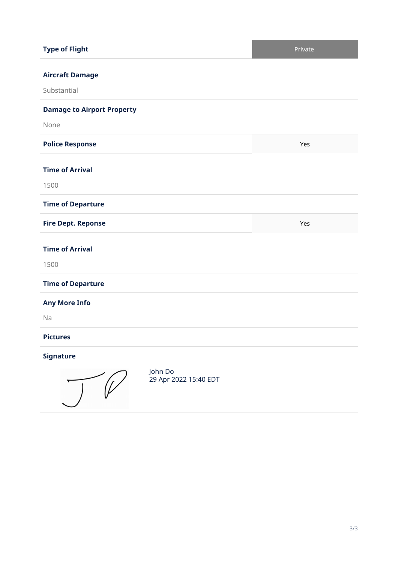| <b>Type of Flight</b>                                | Private |
|------------------------------------------------------|---------|
| <b>Aircraft Damage</b><br>Substantial                |         |
| <b>Damage to Airport Property</b>                    |         |
| None                                                 |         |
| <b>Police Response</b>                               | Yes     |
| <b>Time of Arrival</b><br>1500                       |         |
| <b>Time of Departure</b>                             |         |
| <b>Fire Dept. Reponse</b>                            | Yes     |
| <b>Time of Arrival</b><br>1500                       |         |
| <b>Time of Departure</b>                             |         |
| <b>Any More Info</b><br>Na                           |         |
| <b>Pictures</b>                                      |         |
| <b>Signature</b><br>John Do<br>29 Apr 2022 15:40 EDT |         |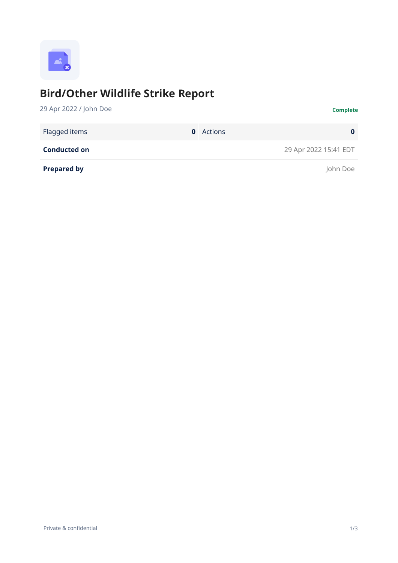

# **Bird/Other Wildlife Strike Report**

| 29 Apr 2022 / John Doe        | <b>Complete</b>       |
|-------------------------------|-----------------------|
| Flagged items<br>$\mathbf{0}$ | Actions<br>$\bf{0}$   |
| <b>Conducted on</b>           | 29 Apr 2022 15:41 EDT |
| <b>Prepared by</b>            | John Doe              |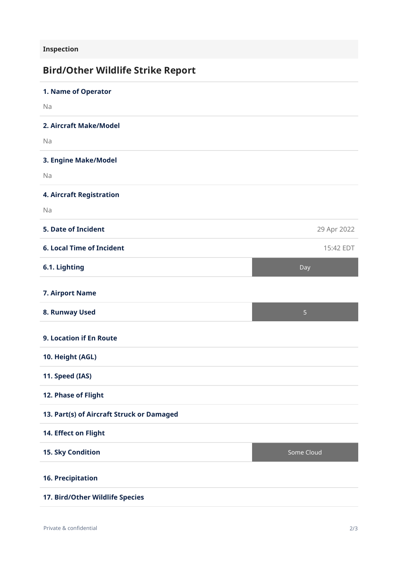**Inspection**

## **Bird/Other Wildlife Strike Report**

| 1. Name of Operator                       |                |
|-------------------------------------------|----------------|
| Na                                        |                |
| 2. Aircraft Make/Model                    |                |
| Na                                        |                |
| 3. Engine Make/Model                      |                |
| Na                                        |                |
| <b>4. Aircraft Registration</b>           |                |
| Na                                        |                |
| <b>5. Date of Incident</b>                | 29 Apr 2022    |
| <b>6. Local Time of Incident</b>          | 15:42 EDT      |
| 6.1. Lighting                             | Day            |
| <b>7. Airport Name</b>                    |                |
| 8. Runway Used                            | $\overline{5}$ |
| 9. Location if En Route                   |                |
| 10. Height (AGL)                          |                |
| 11. Speed (IAS)                           |                |
| 12. Phase of Flight                       |                |
| 13. Part(s) of Aircraft Struck or Damaged |                |
| 14. Effect on Flight                      |                |
| 15. Sky Condition                         | Some Cloud     |
| <b>16. Precipitation</b>                  |                |
| 17. Bird/Other Wildlife Species           |                |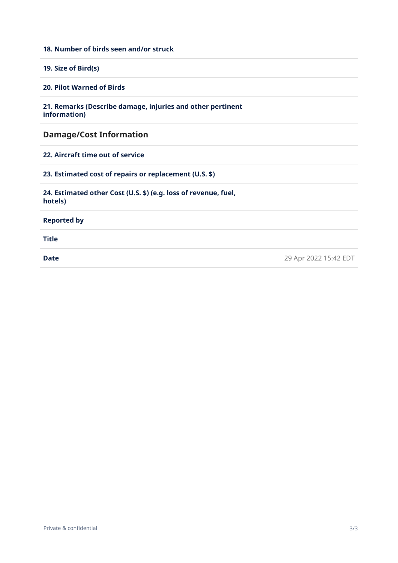#### **18. Number of birds seen and/or struck**

**19. Size of Bird(s)**

**20. Pilot Warned of Birds**

**21. Remarks (Describe damage, injuries and other pertinent information)**

**Damage/Cost Information**

**22. Aircraft time out of service**

**23. Estimated cost of repairs or replacement (U.S. \$)**

**24. Estimated other Cost (U.S. \$) (e.g. loss of revenue, fuel, hotels)**

**Reported by**

**Title**

**Date** 29 Apr 2022 15:42 EDT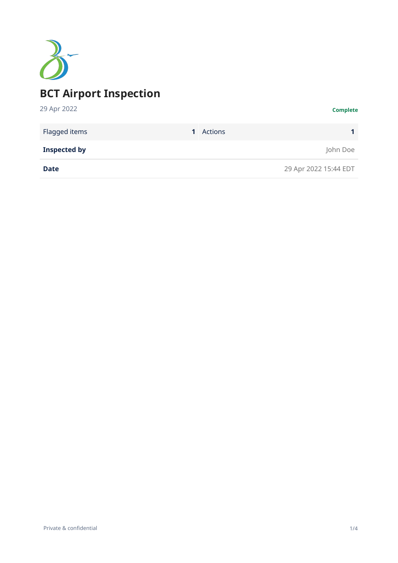

| Flagged items       | <b>1</b> Actions |                       |
|---------------------|------------------|-----------------------|
| <b>Inspected by</b> |                  | John Doe              |
| <b>Date</b>         |                  | 29 Apr 2022 15:44 EDT |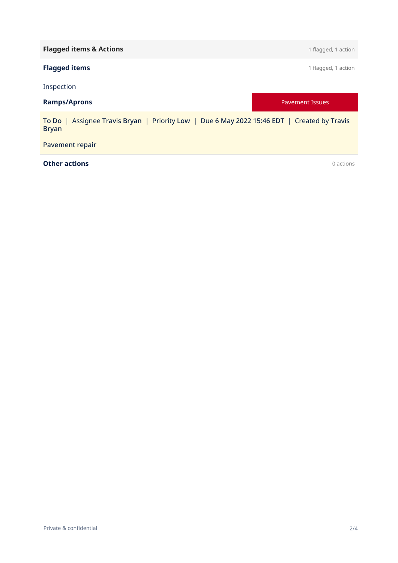| <b>Flagged items &amp; Actions</b>                                                                          | 1 flagged, 1 action    |
|-------------------------------------------------------------------------------------------------------------|------------------------|
| <b>Flagged items</b>                                                                                        | 1 flagged, 1 action    |
| Inspection                                                                                                  |                        |
| <b>Ramps/Aprons</b>                                                                                         | <b>Pavement Issues</b> |
| To Do   Assignee Travis Bryan   Priority Low   Due 6 May 2022 15:46 EDT   Created by Travis<br><b>Bryan</b> |                        |
| <b>Pavement repair</b>                                                                                      |                        |
| <b>Other actions</b>                                                                                        | 0 actions              |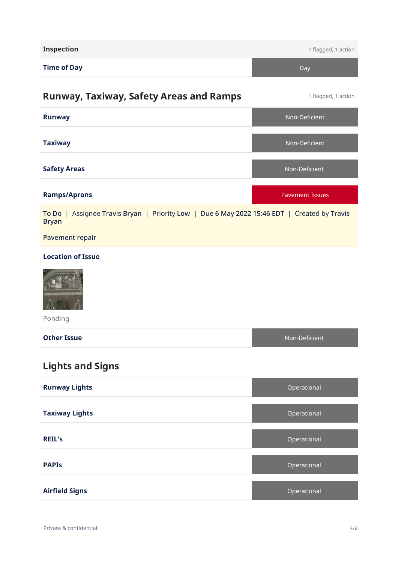| <b>Inspection</b>                                                                                           | 1 flagged, 1 action    |
|-------------------------------------------------------------------------------------------------------------|------------------------|
| <b>Time of Day</b>                                                                                          | Day                    |
| <b>Runway, Taxiway, Safety Areas and Ramps</b>                                                              | 1 flagged, 1 action    |
| <b>Runway</b>                                                                                               | Non-Deficient          |
| <b>Taxiway</b>                                                                                              | Non-Deficient          |
| <b>Safety Areas</b>                                                                                         | Non-Deficient          |
| <b>Ramps/Aprons</b>                                                                                         | <b>Pavement Issues</b> |
| To Do   Assignee Travis Bryan   Priority Low   Due 6 May 2022 15:46 EDT   Created by Travis<br><b>Bryan</b> |                        |
| <b>Pavement repair</b>                                                                                      |                        |
| <b>Location of Issue</b><br>Ponding                                                                         |                        |
| <b>Other Issue</b>                                                                                          | Non-Deficient          |
| <b>Lights and Signs</b>                                                                                     |                        |
| <b>Runway Lights</b>                                                                                        | Operational            |
| <b>Taxiway Lights</b>                                                                                       | Operational            |
| <b>REIL's</b>                                                                                               | Operational            |
| <b>PAPIS</b>                                                                                                | Operational            |
| <b>Airfield Signs</b>                                                                                       | Operational            |